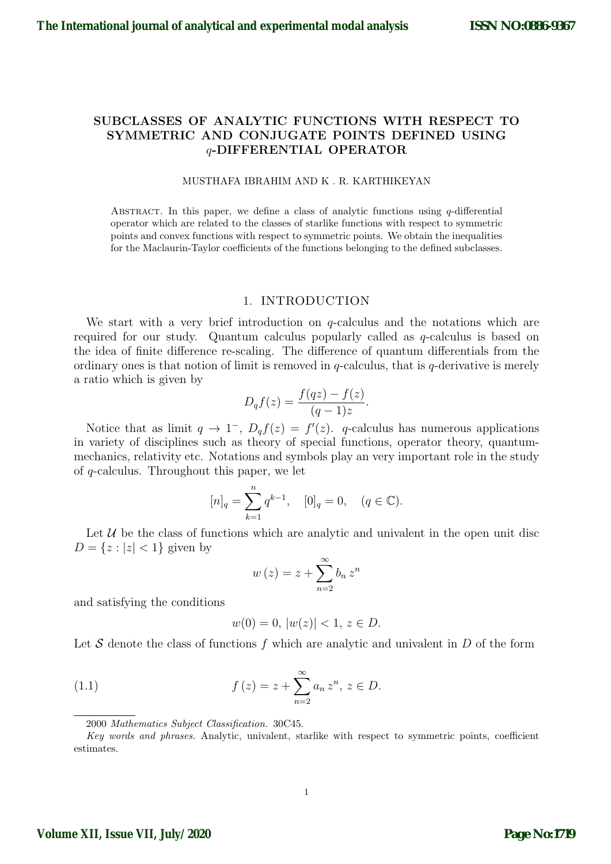# SUBCLASSES OF ANALYTIC FUNCTIONS WITH RESPECT TO SYMMETRIC AND CONJUGATE POINTS DEFINED USING q-DIFFERENTIAL OPERATOR

#### MUSTHAFA IBRAHIM AND K . R. KARTHIKEYAN

ABSTRACT. In this paper, we define a class of analytic functions using  $q$ -differential operator which are related to the classes of starlike functions with respect to symmetric points and convex functions with respect to symmetric points. We obtain the inequalities for the Maclaurin-Taylor coefficients of the functions belonging to the defined subclasses.

#### 1. INTRODUCTION

We start with a very brief introduction on  $q$ -calculus and the notations which are required for our study. Quantum calculus popularly called as q-calculus is based on the idea of finite difference re-scaling. The difference of quantum differentials from the ordinary ones is that notion of limit is removed in q-calculus, that is q-derivative is merely a ratio which is given by

$$
D_q f(z) = \frac{f(qz) - f(z)}{(q-1)z}.
$$

Notice that as limit  $q \to 1^-$ ,  $D_q f(z) = f'(z)$ . q-calculus has numerous applications in variety of disciplines such as theory of special functions, operator theory, quantummechanics, relativity etc. Notations and symbols play an very important role in the study of q-calculus. Throughout this paper, we let

$$
[n]_q = \sum_{k=1}^n q^{k-1}, \quad [0]_q = 0, \quad (q \in \mathbb{C}).
$$

Let  $U$  be the class of functions which are analytic and univalent in the open unit disc  $D = \{z : |z| < 1\}$  given by

<span id="page-0-0"></span>
$$
w(z) = z + \sum_{n=2}^{\infty} b_n z^n
$$

and satisfying the conditions

$$
w(0) = 0, \, |w(z)| < 1, \, z \in D.
$$

Let S denote the class of functions f which are analytic and univalent in  $D$  of the form

(1.1) 
$$
f(z) = z + \sum_{n=2}^{\infty} a_n z^n, z \in D.
$$

Key words and phrases. Analytic, univalent, starlike with respect to symmetric points, coefficient estimates.

<sup>2000</sup> Mathematics Subject Classification. 30C45.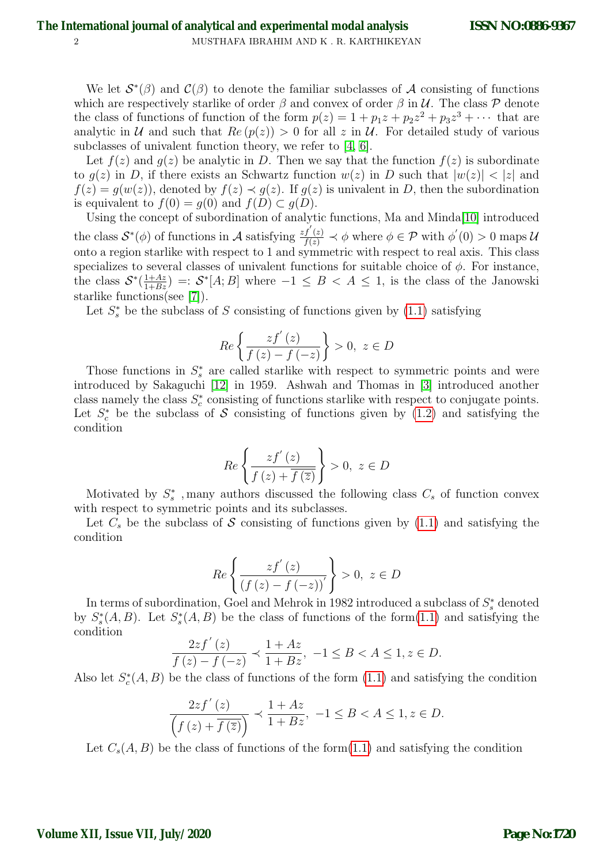We let  $\mathcal{S}^*(\beta)$  and  $\mathcal{C}(\beta)$  to denote the familiar subclasses of A consisting of functions which are respectively starlike of order  $\beta$  and convex of order  $\beta$  in  $\mathcal{U}$ . The class  $\mathcal{P}$  denote the class of functions of function of the form  $p(z) = 1 + p_1z + p_2z^2 + p_3z^3 + \cdots$  that are analytic in U and such that  $Re(p(z)) > 0$  for all z in U. For detailed study of various subclasses of univalent function theory, we refer to [\[4,](#page-9-0) [6\]](#page-9-1).

Let  $f(z)$  and  $g(z)$  be analytic in D. Then we say that the function  $f(z)$  is subordinate to  $g(z)$  in D, if there exists an Schwartz function  $w(z)$  in D such that  $|w(z)| < |z|$  and  $f(z) = g(w(z))$ , denoted by  $f(z) \prec g(z)$ . If  $g(z)$  is univalent in D, then the subordination is equivalent to  $f(0) = g(0)$  and  $f(D) \subset g(D)$ .

Using the concept of subordination of analytic functions, Ma and Minda[\[10\]](#page-9-2) introduced the class  $S^*(\phi)$  of functions in A satisfying  $\frac{zf'(z)}{f(z)} \prec \phi$  where  $\phi \in \mathcal{P}$  with  $\phi'(0) > 0$  maps U onto a region starlike with respect to 1 and symmetric with respect to real axis. This class specializes to several classes of univalent functions for suitable choice of  $\phi$ . For instance, the class  $S^*(\frac{1+Az}{1+Bz}) =: S^*[A;B]$  where  $-1 \leq B < A \leq 1$ , is the class of the Janowski starlike functions(see [\[7\]](#page-9-3)).

Let  $S_s^*$  be the subclass of S consisting of functions given by  $(1.1)$  satisfying

<span id="page-1-0"></span>
$$
Re\left\{\frac{zf^{'}(z)}{f(z)-f(-z)}\right\}>0, \ z\in D
$$

Those functions in  $S_s^*$  are called starlike with respect to symmetric points and were introduced by Sakaguchi [\[12\]](#page-9-4) in 1959. Ashwah and Thomas in [\[3\]](#page-9-5) introduced another class namely the class  $S_c^*$  consisting of functions starlike with respect to conjugate points. Let  $S_c^*$  be the subclass of S consisting of functions given by [\(1.2\)](#page-1-0) and satisfying the condition

$$
Re\left\{\frac{zf^{'}(z)}{f(z)+\overline{f\left(\overline{z}\right)}}\right\}>0,\ z\in D
$$

Motivated by  $S_s^*$ , many authors discussed the following class  $C_s$  of function convex with respect to symmetric points and its subclasses.

Let  $C_s$  be the subclass of S consisting of functions given by [\(1.1\)](#page-0-0) and satisfying the condition

$$
Re\left\{\frac{zf'(z)}{(f(z)-f(-z))'}\right\} > 0, \ z \in D
$$

In terms of subordination, Goel and Mehrok in 1982 introduced a subclass of  $S_s^*$  denoted by  $S^*_s(A, B)$ . Let  $S^*_s(A, B)$  be the class of functions of the form[\(1.1\)](#page-0-0) and satisfying the condition

$$
\frac{2zf'(z)}{f(z) - f(-z)} \prec \frac{1 + Az}{1 + Bz}, \ -1 \le B < A \le 1, z \in D.
$$

Also let  $S_c^*(A, B)$  be the class of functions of the form  $(1.1)$  and satisfying the condition

$$
\frac{2zf^{'}\left(z\right)}{\left(f\left(z\right)+\overline{f\left(\overline{z}\right)}\right)}\prec\frac{1+A z}{1+Bz},\ -1\leq B
$$

Let  $C_s(A, B)$  be the class of functions of the form $(1.1)$  and satisfying the condition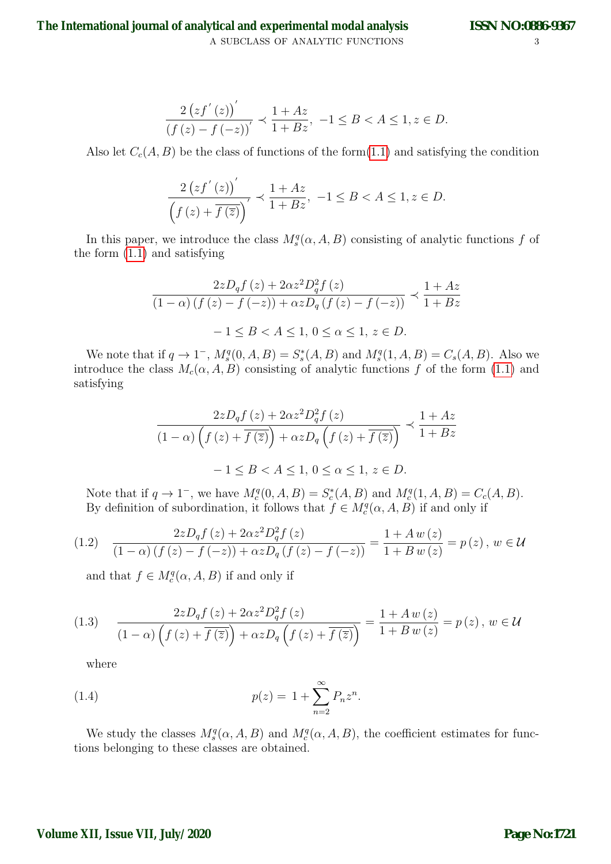A SUBCLASS OF ANALYTIC FUNCTIONS  $3$ **The International journal of analytical and experimental modal analysis**

$$
\frac{2(zf'(z))'}{(f(z) - f(-z))'} \prec \frac{1 + Az}{1 + Bz}, \ -1 \le B < A \le 1, z \in D.
$$

Also let  $C_c(A, B)$  be the class of functions of the form $(1.1)$  and satisfying the condition

$$
\frac{2\left(zf^{\prime}\left(z\right)\right)^{\prime}}{\left(f\left(z\right)+\overline{f\left(\overline{z}\right)}\right)^{\prime}} \prec \frac{1+Az}{1+Bz}, \ -1 \leq B < A \leq 1, z \in D.
$$

In this paper, we introduce the class  $M_s^q(\alpha, A, B)$  consisting of analytic functions f of the form [\(1.1\)](#page-0-0) and satisfying

$$
\frac{2zD_qf(z) + 2\alpha z^2D_q^2f(z)}{(1-\alpha)(f(z) - f(-z)) + \alpha zD_q(f(z) - f(-z))} \prec \frac{1 + Az}{1 + Bz}
$$

$$
-1 \le B < A \le 1, 0 \le \alpha \le 1, z \in D.
$$

We note that if  $q \to 1^-$ ,  $M_s^q(0, A, B) = S_s^*(A, B)$  and  $M_s^q(1, A, B) = C_s(A, B)$ . Also we introduce the class  $M_c(\alpha, A, B)$  consisting of analytic functions f of the form [\(1.1\)](#page-0-0) and satisfying

$$
\frac{2zD_qf(z) + 2\alpha z^2 D_q^2f(z)}{(1-\alpha)\left(f(z) + \overline{f(\overline{z})}\right) + \alpha zD_q\left(f(z) + \overline{f(\overline{z})}\right)} \prec \frac{1+Az}{1+Bz}
$$

$$
-1 \le B < A \le 1, \ 0 \le \alpha \le 1, \ z \in D.
$$

Note that if  $q \to 1^-$ , we have  $M_c^q(0, A, B) = S_c^*(A, B)$  and  $M_c^q(1, A, B) = C_c(A, B)$ . By definition of subordination, it follows that  $f \in M_c^q(\alpha, A, B)$  if and only if

$$
(1.2) \quad \frac{2zD_qf(z) + 2\alpha z^2D_q^2f(z)}{(1-\alpha)\left(f(z) - f(-z)\right) + \alpha zD_q\left(f(z) - f(-z)\right)} = \frac{1 + Aw(z)}{1 + Bw(z)} = p(z), \ w \in \mathcal{U}
$$

and that  $f \in M_c^q(\alpha, A, B)$  if and only if

$$
(1.3)\qquad \frac{2zD_qf(z) + 2\alpha z^2D_q^2f(z)}{(1-\alpha)\left(f(z) + \overline{f(\overline{z})}\right) + \alpha zD_q\left(f(z) + \overline{f(\overline{z})}\right)} = \frac{1 + Aw(z)}{1 + Bw(z)} = p(z), \ w \in \mathcal{U}
$$

<span id="page-2-0"></span>where

(1.4) 
$$
p(z) = 1 + \sum_{n=2}^{\infty} P_n z^n.
$$

We study the classes  $M_s^q(\alpha, A, B)$  and  $M_c^q(\alpha, A, B)$ , the coefficient estimates for functions belonging to these classes are obtained.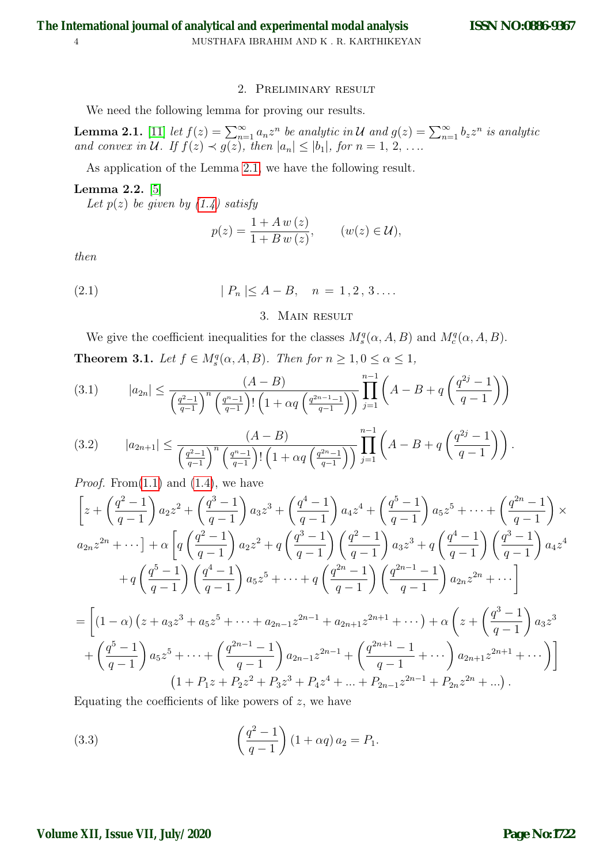### 2. Preliminary result

We need the following lemma for proving our results.

<span id="page-3-0"></span>**Lemma 2.1.** [\[11\]](#page-9-6) let  $f(z) = \sum_{n=1}^{\infty} a_n z^n$  be analytic in U and  $g(z) = \sum_{n=1}^{\infty} b_z z^n$  is analytic and convex in U. If  $f(z) \prec g(z)$ , then  $|a_n| \leq |b_1|$ , for  $n = 1, 2, \ldots$ 

As application of the Lemma [2.1,](#page-3-0) we have the following result.

### <span id="page-3-1"></span>Lemma 2.2. [\[5\]](#page-9-7)

Let  $p(z)$  be given by  $(1.4)$  satisfy

$$
p(z) = \frac{1 + A w(z)}{1 + B w(z)}, \qquad (w(z) \in \mathcal{U}),
$$

then

(2.1) 
$$
|P_n| \leq A - B, \quad n = 1, 2, 3 \dots
$$

## 3. Main result

We give the coefficient inequalities for the classes  $M_s^q(\alpha, A, B)$  and  $M_c^q(\alpha, A, B)$ .

<span id="page-3-4"></span>**Theorem 3.1.** Let  $f \in M_s^q(\alpha, A, B)$ . Then for  $n \geq 1, 0 \leq \alpha \leq 1$ ,

<span id="page-3-2"></span>(3.1) 
$$
|a_{2n}| \leq \frac{(A-B)}{\left(\frac{q^2-1}{q-1}\right)^n \left(\frac{q^n-1}{q-1}\right)! \left(1 + \alpha q \left(\frac{q^{2n-1}-1}{q-1}\right)\right)} \prod_{j=1}^{n-1} \left(A - B + q \left(\frac{q^{2j}-1}{q-1}\right)\right)
$$

<span id="page-3-3"></span>(3.2) 
$$
|a_{2n+1}| \leq \frac{(A-B)}{\left(\frac{q^2-1}{q-1}\right)^n \left(\frac{q^n-1}{q-1}\right)! \left(1+\alpha q \left(\frac{q^{2n}-1}{q-1}\right)\right)} \prod_{j=1}^{n-1} \left(A-B+q \left(\frac{q^{2j}-1}{q-1}\right)\right).
$$

*Proof.* From  $(1.1)$  and  $(1.4)$ , we have

$$
\left[z + \left(\frac{q^2 - 1}{q - 1}\right)a_2z^2 + \left(\frac{q^3 - 1}{q - 1}\right)a_3z^3 + \left(\frac{q^4 - 1}{q - 1}\right)a_4z^4 + \left(\frac{q^5 - 1}{q - 1}\right)a_5z^5 + \dots + \left(\frac{q^{2n} - 1}{q - 1}\right)\times
$$
  
\n
$$
a_{2n}z^{2n} + \dotsb\right] + \alpha\left[q\left(\frac{q^2 - 1}{q - 1}\right)a_2z^2 + q\left(\frac{q^3 - 1}{q - 1}\right)\left(\frac{q^2 - 1}{q - 1}\right)a_3z^3 + q\left(\frac{q^4 - 1}{q - 1}\right)\left(\frac{q^3 - 1}{q - 1}\right)a_4z^4 + q\left(\frac{q^5 - 1}{q - 1}\right)\left(\frac{q^4 - 1}{q - 1}\right)a_5z^5 + \dots + q\left(\frac{q^{2n} - 1}{q - 1}\right)\left(\frac{q^{2n-1} - 1}{q - 1}\right)a_{2n}z^{2n} + \dotsb\right]
$$
  
\n
$$
= \left[(1 - \alpha)\left(z + a_3z^3 + a_5z^5 + \dots + a_{2n-1}z^{2n-1} + a_{2n+1}z^{2n+1} + \dots\right) + \alpha\left(z + \left(\frac{q^3 - 1}{q - 1}\right)a_3z^3 + \left(\frac{q^5 - 1}{q - 1}\right)a_5z^5 + \dotsb + \left(\frac{q^{2n-1} - 1}{q - 1}\right)a_{2n-1}z^{2n-1} + \left(\frac{q^{2n+1} - 1}{q - 1} + \dots\right)a_{2n+1}z^{2n+1} + \dotsb\right)\right]
$$
  
\n
$$
(1 + P_1z + P_2z^2 + P_3z^3 + P_4z^4 + \dots + P_{2n-1}z^{2n-1} + P_{2n}z^{2n} + \dots).
$$

Equating the coefficients of like powers of  $z$ , we have

(3.3) 
$$
\left(\frac{q^2-1}{q-1}\right)(1+\alpha q) a_2 = P_1.
$$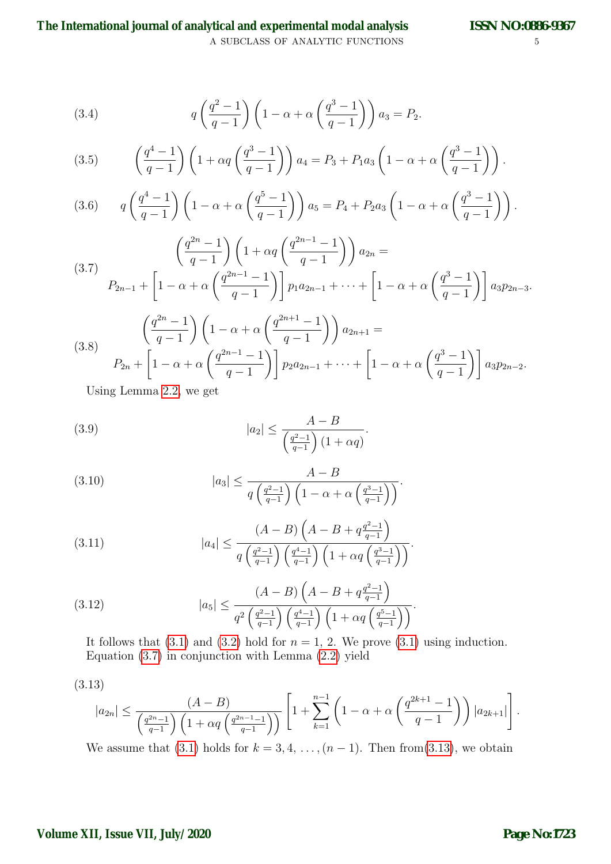A SUBCLASS OF ANALYTIC FUNCTIONS  $5$ **The International journal of analytical and experimental modal analysis**

(3.4) 
$$
q\left(\frac{q^2-1}{q-1}\right)\left(1-\alpha+\alpha\left(\frac{q^3-1}{q-1}\right)\right)a_3 = P_2.
$$

(3.5) 
$$
\left(\frac{q^4 - 1}{q - 1}\right) \left(1 + \alpha q \left(\frac{q^3 - 1}{q - 1}\right)\right) a_4 = P_3 + P_1 a_3 \left(1 - \alpha + \alpha \left(\frac{q^3 - 1}{q - 1}\right)\right).
$$

(3.6) 
$$
q\left(\frac{q^4-1}{q-1}\right)\left(1-\alpha+\alpha\left(\frac{q^5-1}{q-1}\right)\right)a_5 = P_4 + P_2a_3\left(1-\alpha+\alpha\left(\frac{q^3-1}{q-1}\right)\right).
$$

<span id="page-4-0"></span>(3.7)  

$$
\left(\frac{q^{2n}-1}{q-1}\right)\left(1+\alpha q\left(\frac{q^{2n-1}-1}{q-1}\right)\right)a_{2n} =
$$

$$
P_{2n-1} + \left[1-\alpha+\alpha\left(\frac{q^{2n-1}-1}{q-1}\right)\right]p_1a_{2n-1} + \dots + \left[1-\alpha+\alpha\left(\frac{q^3-1}{q-1}\right)\right]a_3p_{2n-3}.
$$

(3.8) 
$$
\left(\frac{q^{2n}-1}{q-1}\right) \left(1-\alpha+\alpha\left(\frac{q^{2n+1}-1}{q-1}\right)\right) a_{2n+1} =
$$
  
\n
$$
P_{2n} + \left[1-\alpha+\alpha\left(\frac{q^{2n-1}-1}{q-1}\right)\right] p_2 a_{2n-1} + \dots + \left[1-\alpha+\alpha\left(\frac{q^3-1}{q-1}\right)\right] a_3 p_{2n-2}.
$$

Using Lemma [2.2,](#page-3-1) we get

(3.9) 
$$
|a_2| \leq \frac{A-B}{\left(\frac{q^2-1}{q-1}\right)(1+\alpha q)}.
$$

(3.10) 
$$
|a_3| \leq \frac{A-B}{q\left(\frac{q^2-1}{q-1}\right)\left(1-\alpha+\alpha\left(\frac{q^3-1}{q-1}\right)\right)}.
$$

(3.11) 
$$
|a_4| \le \frac{(A-B)\left(A-B+q\frac{q^2-1}{q-1}\right)}{q\left(\frac{q^2-1}{q-1}\right)\left(\frac{q^4-1}{q-1}\right)\left(1+\alpha q\left(\frac{q^3-1}{q-1}\right)\right)}.
$$

(3.12) 
$$
|a_5| \le \frac{(A-B)\left(A-B+q\frac{q^2-1}{q-1}\right)}{q^2\left(\frac{q^2-1}{q-1}\right)\left(\frac{q^4-1}{q-1}\right)\left(1+\alpha q\left(\frac{q^5-1}{q-1}\right)\right)}.
$$

It follows that  $(3.1)$  and  $(3.2)$  hold for  $n = 1, 2$ . We prove  $(3.1)$  using induction. Equation  $(3.7)$  in conjunction with Lemma  $(2.2)$  yield

$$
(3.13)
$$

<span id="page-4-1"></span>
$$
|a_{2n}| \leq \frac{(A-B)}{\left(\frac{q^{2n}-1}{q-1}\right)\left(1+\alpha q\left(\frac{q^{2n-1}-1}{q-1}\right)\right)} \left[1+\sum_{k=1}^{n-1} \left(1-\alpha+\alpha\left(\frac{q^{2k+1}-1}{q-1}\right)\right)|a_{2k+1}|\right].
$$

We assume that [\(3.1\)](#page-3-2) holds for  $k = 3, 4, \ldots, (n-1)$ . Then from[\(3.13\)](#page-4-1), we obtain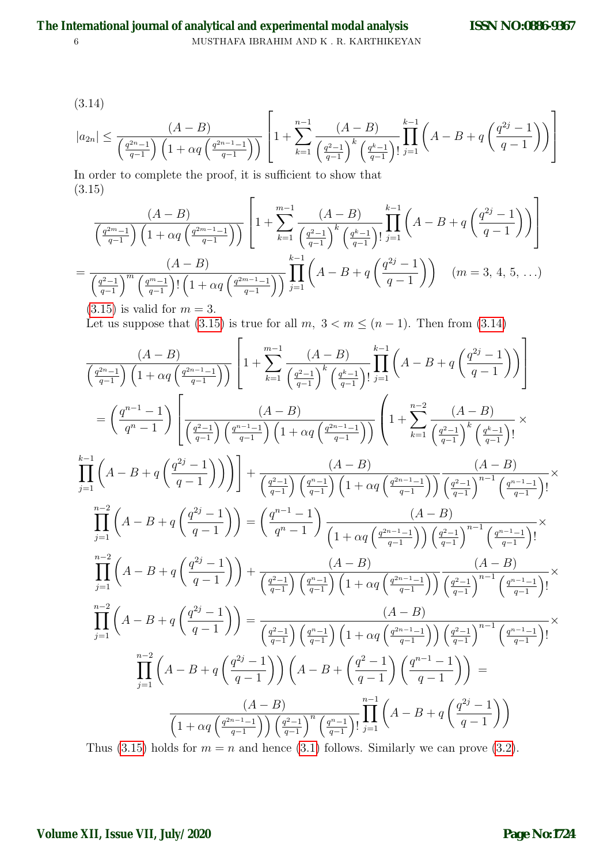6 MUSTHAFA IBRAHIM AND K . R. KARTHIKEYAN **The International journal of analytical and experimental modal analysis**

$$
(3.14)
$$

<span id="page-5-1"></span>
$$
|a_{2n}| \le \frac{(A-B)}{\left(\frac{q^{2n}-1}{q-1}\right)\left(1+\alpha q\left(\frac{q^{2n-1}-1}{q-1}\right)\right)} \left[1+\sum_{k=1}^{n-1} \frac{(A-B)}{\left(\frac{q^{2}-1}{q-1}\right)^k \left(\frac{q^k-1}{q-1}\right)!} \prod_{j=1}^{k-1} \left(A-B+q\left(\frac{q^{2j}-1}{q-1}\right)\right)\right]
$$

In order to complete the proof, it is sufficient to show that (3.15)  $\mathsf{r}$ 

<span id="page-5-0"></span>
$$
\frac{(A-B)}{\left(\frac{q^{2m}-1}{q-1}\right)\left(1+\alpha q\left(\frac{q^{2m-1}-1}{q-1}\right)\right)}\left[1+\sum_{k=1}^{m-1}\frac{(A-B)}{\left(\frac{q^{2}-1}{q-1}\right)^{k}\left(\frac{q^{k}-1}{q-1}\right)}\prod_{j=1}^{k-1}\left(A-B+q\left(\frac{q^{2j}-1}{q-1}\right)\right)\right]
$$
\n
$$
=\frac{(A-B)}{\left(\frac{q^{2}-1}{q-1}\right)^{m}\left(\frac{q^{m}-1}{q-1}\right)!\left(1+\alpha q\left(\frac{q^{2m-1}-1}{q-1}\right)\right)}\prod_{j=1}^{k-1}\left(A-B+q\left(\frac{q^{2j}-1}{q-1}\right)\right) \quad (m=3,4,5,\ldots)
$$
\n(2.15) is valid for  $m=3$ .

 $(3.15)$  is valid for  $m = 3$ . Let us suppose that [\(3.15\)](#page-5-0) is true for all  $m, 3 < m \leq (n-1)$ . Then from [\(3.14\)](#page-5-1)

<span id="page-5-2"></span>
$$
\frac{(A-B)}{\left(\frac{q^{2n-1}}{q-1}\right)\left(1+\alpha q\left(\frac{q^{2n-1}-1}{q-1}\right)\right)}\left[1+\sum_{k=1}^{m-1}\frac{(A-B)}{\left(\frac{q^{2}-1}{q-1}\right)^{k}\left(\frac{q^{k}-1}{q-1}\right)\prod_{j=1}^{k-1}\left(A-B+q\left(\frac{q^{2j}-1}{q-1}\right)\right)\right]
$$
\n
$$
=\left(\frac{q^{n-1}-1}{q^{n}-1}\right)\left[\frac{(A-B)}{\left(\frac{q^{2}-1}{q-1}\right)\left(\frac{q^{n-1}-1}{q-1}\right)\left(1+\alpha q\left(\frac{q^{2n-1}-1}{q-1}\right)\right)\right] + \frac{(A-B)}{k+1}\left(\frac{(A-B)}{q-1}\right)^{k}\left(\frac{q^{k}-1}{q-1}\right)! \times \frac{k-1}{j=1}\left(A-B+q\left(\frac{q^{2j}-1}{q-1}\right)\right)\right] + \frac{(A-B)}{\left(\frac{q^{2}-1}{q-1}\right)\left(\frac{q^{n}-1}{q-1}\right)\left(1+\alpha q\left(\frac{q^{2n-1}-1}{q-1}\right)\right)}\frac{(A-B)}{\left(\frac{q^{2}-1}{q-1}\right)^{n-1}\left(\frac{q^{n}-1}{q-1}\right)!} \times \frac{\prod_{j=1}^{m-2}\left(A-B+q\left(\frac{q^{2j}-1}{q-1}\right)\right) - \left(\frac{q^{n-1}-1}{q^{n}-1}\right)\left(\frac{A-B}{q-1}\right)\left(\frac{A-B}{q-1}\right)\right]}{\prod_{j=1}^{m-2}\left(A-B+q\left(\frac{q^{2j}-1}{q-1}\right)\right) + \frac{(A-B)}{\left(\frac{q^{2}-1}{q-1}\right)\left(\frac{q^{n-1}-1}{q-1}\right)\left(1+\alpha q\left(\frac{q^{2n-1}-1}{q-1}\right)\right)}\frac{(A-B)}{\left(\frac{q^{2}-1}{q-1}\right)^{n-1}\left(\frac{q^{n-1}-1}{q-1}\right)!} \times \prod_{j=1}^{m-2}\left(A-B+q\left(\frac{q^{2j}-1}{q-1}\right)\right) = \frac{(A-B)}{\left(\frac{q^{2}-1}{q-1}\right)\left(\frac{q
$$

Thus [\(3.15\)](#page-5-0) holds for  $m = n$  and hence [\(3.1\)](#page-3-2) follows. Similarly we can prove [\(3.2\)](#page-3-3).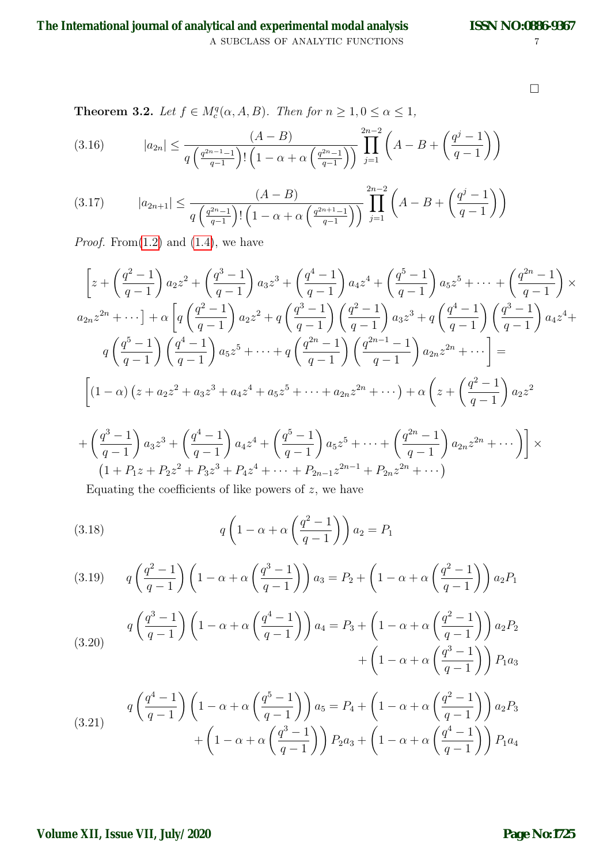A SUBCLASS OF ANALYTIC FUNCTIONS  $\hspace{2cm} 7$ **The International journal of analytical and experimental modal analysis**

 $\Box$ 

<span id="page-6-5"></span>**Theorem 3.2.** Let  $f \in M_c^q(\alpha, A, B)$ . Then for  $n \geq 1, 0 \leq \alpha \leq 1$ ,

(3.16) 
$$
|a_{2n}| \leq \frac{(A-B)}{q\left(\frac{q^{2n-1}-1}{q-1}\right)! \left(1-\alpha+\alpha\left(\frac{q^{2n}-1}{q-1}\right)\right)} \prod_{j=1}^{2n-2} \left(A-B+\left(\frac{q^j-1}{q-1}\right)\right)
$$

<span id="page-6-4"></span>(3.17) 
$$
|a_{2n+1}| \leq \frac{(A-B)}{q\left(\frac{q^{2n}-1}{q-1}\right)! \left(1-\alpha+\alpha\left(\frac{q^{2n+1}-1}{q-1}\right)\right)} \prod_{j=1}^{2n-2} \left(A-B+\left(\frac{q^j-1}{q-1}\right)\right)
$$

*Proof.* From $(1.2)$  and  $(1.4)$ , we have

$$
\left[z + \left(\frac{q^2 - 1}{q - 1}\right)a_2z^2 + \left(\frac{q^3 - 1}{q - 1}\right)a_3z^3 + \left(\frac{q^4 - 1}{q - 1}\right)a_4z^4 + \left(\frac{q^5 - 1}{q - 1}\right)a_5z^5 + \dots + \left(\frac{q^{2n} - 1}{q - 1}\right)\times
$$
  
\n
$$
a_{2n}z^{2n} + \dots \right] + \alpha \left[q\left(\frac{q^2 - 1}{q - 1}\right)a_2z^2 + q\left(\frac{q^3 - 1}{q - 1}\right)\left(\frac{q^2 - 1}{q - 1}\right)a_3z^3 + q\left(\frac{q^4 - 1}{q - 1}\right)\left(\frac{q^3 - 1}{q - 1}\right)a_4z^4 +
$$
  
\n
$$
q\left(\frac{q^5 - 1}{q - 1}\right)\left(\frac{q^4 - 1}{q - 1}\right)a_5z^5 + \dots + q\left(\frac{q^{2n} - 1}{q - 1}\right)\left(\frac{q^{2n-1} - 1}{q - 1}\right)a_{2n}z^{2n} + \dots\right] =
$$
  
\n
$$
\left[(1 - \alpha)\left(z + a_2z^2 + a_3z^3 + a_4z^4 + a_5z^5 + \dots + a_{2n}z^{2n} + \dots\right) + \alpha\left(z + \left(\frac{q^2 - 1}{q - 1}\right)a_2z^2\right)\right]z^{2n} + \dots
$$

$$
+\left(\frac{q^3-1}{q-1}\right)a_3z^3+\left(\frac{q^4-1}{q-1}\right)a_4z^4+\left(\frac{q^5-1}{q-1}\right)a_5z^5+\cdots+\left(\frac{q^{2n}-1}{q-1}\right)a_{2n}z^{2n}+\cdots\right)\bigg] \times
$$
  
\n
$$
(1+P_1z+P_2z^2+P_3z^3+P_4z^4+\cdots+P_{2n-1}z^{2n-1}+P_{2n}z^{2n}+\cdots)
$$

<span id="page-6-0"></span>Equating the coefficients of like powers of  $z$ , we have

(3.18) 
$$
q\left(1-\alpha+\alpha\left(\frac{q^2-1}{q-1}\right)\right)a_2 = P_1
$$

<span id="page-6-1"></span>(3.19) 
$$
q\left(\frac{q^2-1}{q-1}\right)\left(1-\alpha+\alpha\left(\frac{q^3-1}{q-1}\right)\right)a_3 = P_2 + \left(1-\alpha+\alpha\left(\frac{q^2-1}{q-1}\right)\right)a_2P_1
$$

<span id="page-6-2"></span>(3.20) 
$$
q\left(\frac{q^3-1}{q-1}\right)\left(1-\alpha+\alpha\left(\frac{q^4-1}{q-1}\right)\right)a_4 = P_3 + \left(1-\alpha+\alpha\left(\frac{q^2-1}{q-1}\right)\right)a_2P_2 + \left(1-\alpha+\alpha\left(\frac{q^3-1}{q-1}\right)\right)P_1a_3
$$

<span id="page-6-3"></span>(3.21) 
$$
q\left(\frac{q^4-1}{q-1}\right)\left(1-\alpha+\alpha\left(\frac{q^5-1}{q-1}\right)\right)a_5 = P_4 + \left(1-\alpha+\alpha\left(\frac{q^2-1}{q-1}\right)\right)a_2P_3 + \left(1-\alpha+\alpha\left(\frac{q^3-1}{q-1}\right)\right)P_2a_3 + \left(1-\alpha+\alpha\left(\frac{q^4-1}{q-1}\right)\right)P_1a_4
$$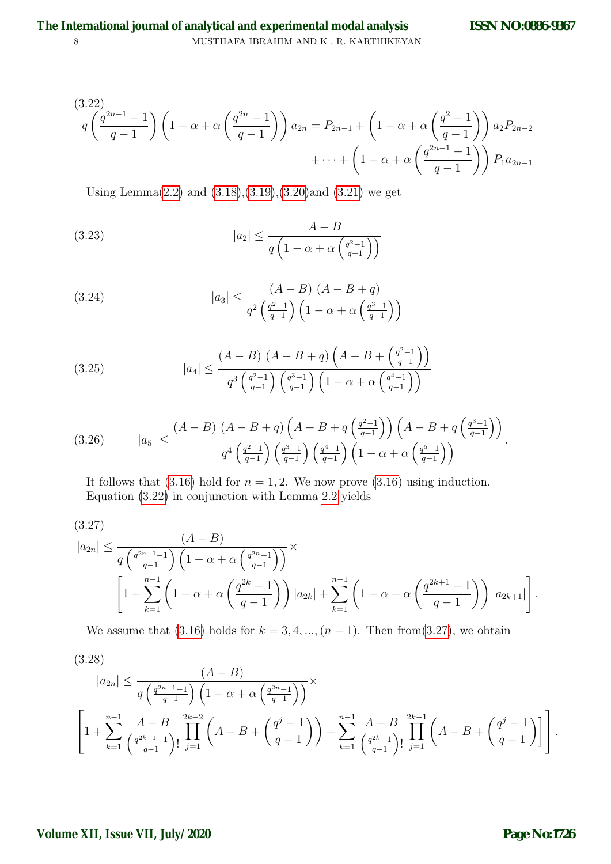<span id="page-7-0"></span>
$$
(3.22)
$$
\n
$$
q\left(\frac{q^{2n-1}-1}{q-1}\right)\left(1-\alpha+\alpha\left(\frac{q^{2n}-1}{q-1}\right)\right)a_{2n} = P_{2n-1} + \left(1-\alpha+\alpha\left(\frac{q^{2}-1}{q-1}\right)\right)a_{2}P_{2n-2} + \cdots + \left(1-\alpha+\alpha\left(\frac{q^{2n-1}-1}{q-1}\right)\right)P_{1}a_{2n-1}
$$

Using Lemma[\(2.2\)](#page-3-1) and [\(3.18\)](#page-6-0),[\(3.19\)](#page-6-1),[\(3.20\)](#page-6-2)and [\(3.21\)](#page-6-3) we get

(3.23) 
$$
|a_2| \le \frac{A-B}{q\left(1-\alpha+\alpha\left(\frac{q^2-1}{q-1}\right)\right)}
$$

(3.24) 
$$
|a_3| \leq \frac{(A-B) (A-B+q)}{q^2 \left(\frac{q^2-1}{q-1}\right) \left(1-\alpha+\alpha \left(\frac{q^3-1}{q-1}\right)\right)}
$$

(3.25) 
$$
|a_4| \leq \frac{(A-B) (A-B+q) \left(A-B+\left(\frac{q^2-1}{q-1}\right)\right)}{q^3 \left(\frac{q^2-1}{q-1}\right) \left(\frac{q^3-1}{q-1}\right) \left(1-\alpha+\alpha\left(\frac{q^4-1}{q-1}\right)\right)}
$$

$$
(3.26) \qquad |a_5| \leq \frac{(A-B) (A-B+q) \left(A-B+q \left(\frac{q^2-1}{q-1}\right)\right) \left(A-B+q \left(\frac{q^3-1}{q-1}\right)\right)}{q^4 \left(\frac{q^2-1}{q-1}\right) \left(\frac{q^3-1}{q-1}\right) \left(\frac{q^4-1}{q-1}\right) \left(1-\alpha+\alpha \left(\frac{q^5-1}{q-1}\right)\right)}.
$$

It follows that [\(3.16\)](#page-5-2) hold for  $n = 1, 2$ . We now prove (3.16) using induction. Equation [\(3.22\)](#page-7-0) in conjunction with Lemma [2.2](#page-3-1) yields

<span id="page-7-1"></span>(3.27)  
\n
$$
|a_{2n}| \le \frac{(A-B)}{q\left(\frac{q^{2n-1}-1}{q-1}\right)\left(1-\alpha+\alpha\left(\frac{q^{2n}-1}{q-1}\right)\right)} \times \left[1+\sum_{k=1}^{n-1}\left(1-\alpha+\alpha\left(\frac{q^{2k}-1}{q-1}\right)\right)|a_{2k}| + \sum_{k=1}^{n-1}\left(1-\alpha+\alpha\left(\frac{q^{2k+1}-1}{q-1}\right)\right)|a_{2k+1}|\right].
$$

We assume that [\(3.16\)](#page-5-2) holds for  $k = 3, 4, ..., (n - 1)$ . Then from[\(3.27\)](#page-7-1), we obtain

<span id="page-7-2"></span>
$$
(3.28)
$$
\n
$$
|a_{2n}| \leq \frac{(A-B)}{q\left(\frac{q^{2n-1}-1}{q-1}\right)\left(1-\alpha+\alpha\left(\frac{q^{2n}-1}{q-1}\right)\right)} \times \left[1+\sum_{k=1}^{n-1} \frac{A-B}{\left(\frac{q^{2k}-1}{q-1}\right)!} \prod_{j=1}^{2k-2} \left(A-B+\left(\frac{q^{j}-1}{q-1}\right)\right) + \sum_{k=1}^{n-1} \frac{A-B}{\left(\frac{q^{2k}-1}{q-1}\right)!} \prod_{j=1}^{2k-1} \left(A-B+\left(\frac{q^{j}-1}{q-1}\right)\right] \right].
$$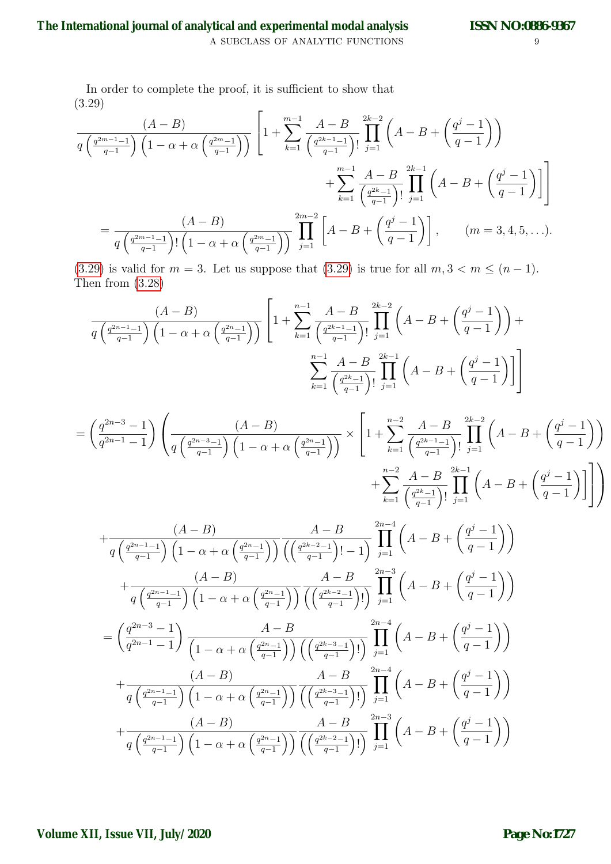In order to complete the proof, it is sufficient to show that (3.29)  $\mathsf{r}$ 

<span id="page-8-0"></span>
$$
\frac{(A-B)}{q\left(\frac{q^{2m-1}-1}{q-1}\right)\left(1-\alpha+\alpha\left(\frac{q^{2m}-1}{q-1}\right)\right)}\left[1+\sum_{k=1}^{m-1}\frac{A-B}{\left(\frac{q^{2k-1}-1}{q-1}\right)!}\prod_{j=1}^{2k-2}\left(A-B+\left(\frac{q^{j}-1}{q-1}\right)\right)\right] + \sum_{k=1}^{m-1}\frac{A-B}{\left(\frac{q^{2k}-1}{q-1}\right)!}\prod_{j=1}^{2k-1}\left(A-B+\left(\frac{q^{j}-1}{q-1}\right)\right]\right]
$$

$$
=\frac{(A-B)}{q\left(\frac{q^{2m-1}-1}{q-1}\right)!\left(1-\alpha+\alpha\left(\frac{q^{2m}-1}{q-1}\right)\right)}\prod_{j=1}^{2m-2}\left[A-B+\left(\frac{q^{j}-1}{q-1}\right)\right], \qquad (m=3,4,5,\ldots).
$$

[\(3.29\)](#page-8-0) is valid for  $m = 3$ . Let us suppose that (3.29) is true for all  $m, 3 < m \leq (n - 1)$ . Then from [\(3.28\)](#page-7-2)

$$
\frac{(A-B)}{q\left(\frac{q^{2n-1}-1}{q-1}\right)\left(1-\alpha+\alpha\left(\frac{q^{2n}-1}{q-1}\right)\right)}\left[1+\sum_{k=1}^{n-1}\frac{A-B}{\left(\frac{q^{2k-1}-1}{q-1}\right)!}\prod_{j=1}^{2k-2}\left(A-B+\left(\frac{q^{j}-1}{q-1}\right)\right)+\sum_{k=1}^{n-1}\frac{A-B}{\left(\frac{q^{2k}-1}{q-1}\right)!}\prod_{j=1}^{2k-1}\left(A-B+\left(\frac{q^{j}-1}{q-1}\right)\right]\right]
$$

$$
= \left(\frac{q^{2n-3}-1}{q^{2n-1}-1}\right) \left(\frac{(A-B)}{q\left(\frac{q^{2n-3}-1}{q-1}\right)\left(1-\alpha+\alpha\left(\frac{q^{2n}-1}{q-1}\right)\right)}\times\left[1+\sum_{k=1}^{n-2}\frac{A-B}{\left(\frac{q^{2k-1}-1}{q-1}\right)!}\prod_{j=1}^{2k-2}\left(A-B+\left(\frac{q^{j}-1}{q-1}\right)\right)\right.\right.\right.
$$

$$
+\frac{(A-B)}{q\left(\frac{q^{2n-1}-1}{q-1}\right)\left(1-\alpha+\alpha\left(\frac{q^{2n}-1}{q-1}\right)\right)}\frac{A-B}{\left(\left(\frac{q^{2k-2}-1}{q-1}\right)!\right)-1} \prod_{j=1}^{2n-4} \left(A-B+\left(\frac{q^{j}-1}{q-1}\right)\right)
$$
  
+
$$
\frac{(A-B)}{q\left(\frac{q^{2n-1}-1}{q-1}\right)\left(1-\alpha+\alpha\left(\frac{q^{2n}-1}{q-1}\right)\right)}\frac{A-B}{\left(\left(\frac{q^{2k-2}-1}{q-1}\right)!\right)}\prod_{j=1}^{2n-3} \left(A-B+\left(\frac{q^{j}-1}{q-1}\right)\right)
$$
  
=
$$
\left(\frac{q^{2n-3}-1}{q^{2n-1}-1}\right)\frac{A-B}{\left(1-\alpha+\alpha\left(\frac{q^{2n}-1}{q-1}\right)\right)\left(\left(\frac{q^{2k-3}-1}{q-1}\right)!\right)}\prod_{j=1}^{2n-4} \left(A-B+\left(\frac{q^{j}-1}{q-1}\right)\right)
$$
  
+
$$
\frac{(A-B)}{q\left(\frac{q^{2n-1}-1}{q-1}\right)\left(1-\alpha+\alpha\left(\frac{q^{2n}-1}{q-1}\right)\right)}\frac{A-B}{\left(\left(\frac{q^{2k-3}-1}{q-1}\right)!\right)}\prod_{j=1}^{2n-4} \left(A-B+\left(\frac{q^{j}-1}{q-1}\right)\right)
$$
  
+
$$
\frac{(A-B)}{q\left(\frac{q^{2n-1}-1}{q-1}\right)\left(1-\alpha+\alpha\left(\frac{q^{2n}-1}{q-1}\right)\right)}\frac{A-B}{\left(\left(\frac{q^{2k-3}-1}{q-1}\right)!\right)}\prod_{j=1}^{2n-3} \left(A-B+\left(\frac{q^{j}-1}{q-1}\right)\right)
$$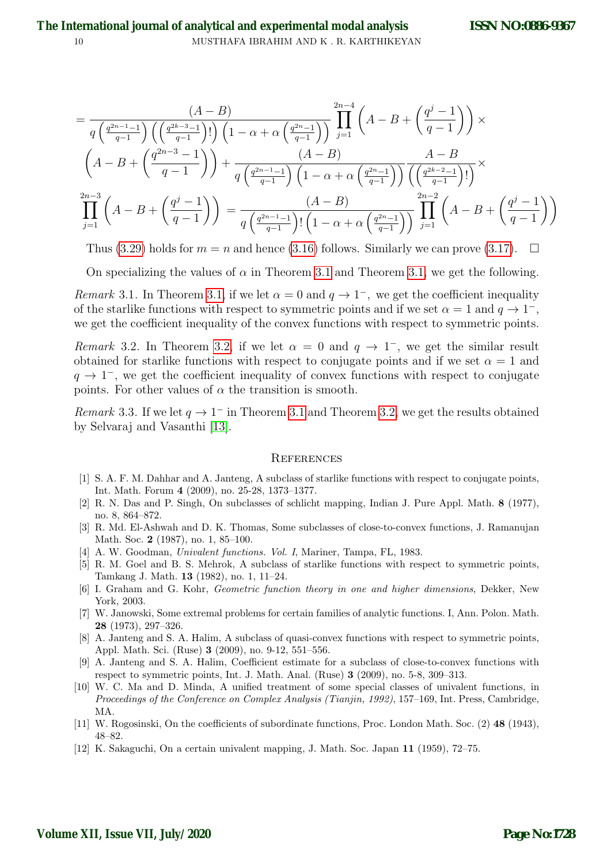$$
= \frac{(A-B)}{q\left(\frac{q^{2n-1}-1}{q-1}\right)\left(\left(\frac{q^{2k-3}-1}{q-1}\right)!\right)\left(1-\alpha+\alpha\left(\frac{q^{2n}-1}{q-1}\right)\right)}\prod_{j=1}^{2n-4}\left(A-B+\left(\frac{q^{j}-1}{q-1}\right)\right) \times \left(A-B+\left(\frac{q^{2n-3}-1}{q-1}\right)\right)+\frac{(A-B)}{q\left(\frac{q^{2n-1}-1}{q-1}\right)\left(1-\alpha+\alpha\left(\frac{q^{2n}-1}{q-1}\right)\right)}\frac{A-B}{\left(\left(\frac{q^{2k-2}-1}{q-1}\right)!\right)} \times \prod_{j=1}^{2n-3}\left(A-B+\left(\frac{q^{j}-1}{q-1}\right)\right)=\frac{(A-B)}{q\left(\frac{q^{2n-1}-1}{q-1}\right)!\left(1-\alpha+\alpha\left(\frac{q^{2n}-1}{q-1}\right)\right)}\prod_{j=1}^{2n-2}\left(A-B+\left(\frac{q^{j}-1}{q-1}\right)\right)
$$

Thus [\(3.29\)](#page-8-0) holds for  $m = n$  and hence [\(3.16\)](#page-5-2) follows. Similarly we can prove [\(3.17\)](#page-6-4).  $\Box$ 

On specializing the values of  $\alpha$  in Theorem [3.1](#page-3-4) and Theorem [3.1,](#page-3-4) we get the following.

Remark 3.1. In Theorem [3.1,](#page-3-4) if we let  $\alpha = 0$  and  $q \to 1^-$ , we get the coefficient inequality of the starlike functions with respect to symmetric points and if we set  $\alpha = 1$  and  $q \to 1^-$ , we get the coefficient inequality of the convex functions with respect to symmetric points.

Remark 3.2. In Theorem [3.2,](#page-6-5) if we let  $\alpha = 0$  and  $q \to 1^-$ , we get the similar result obtained for starlike functions with respect to conjugate points and if we set  $\alpha = 1$  and  $q \to 1^-$ , we get the coefficient inequality of convex functions with respect to conjugate points. For other values of  $\alpha$  the transition is smooth.

Remark 3.3. If we let  $q \to 1^-$  in Theorem [3.1](#page-3-4) and Theorem [3.2,](#page-6-5) we get the results obtained by Selvaraj and Vasanthi [\[13\]](#page-10-0).

#### **REFERENCES**

- [1] S. A. F. M. Dahhar and A. Janteng, A subclass of starlike functions with respect to conjugate points, Int. Math. Forum 4 (2009), no. 25-28, 1373–1377.
- [2] R. N. Das and P. Singh, On subclasses of schlicht mapping, Indian J. Pure Appl. Math. 8 (1977), no. 8, 864–872.
- <span id="page-9-5"></span>[3] R. Md. El-Ashwah and D. K. Thomas, Some subclasses of close-to-convex functions, J. Ramanujan Math. Soc. 2 (1987), no. 1, 85–100.
- <span id="page-9-0"></span>[4] A. W. Goodman, Univalent functions. Vol. I, Mariner, Tampa, FL, 1983.
- <span id="page-9-7"></span>[5] R. M. Goel and B. S. Mehrok, A subclass of starlike functions with respect to symmetric points, Tamkang J. Math. 13 (1982), no. 1, 11–24.
- <span id="page-9-1"></span>[6] I. Graham and G. Kohr, Geometric function theory in one and higher dimensions, Dekker, New York, 2003.
- <span id="page-9-3"></span>[7] W. Janowski, Some extremal problems for certain families of analytic functions. I, Ann. Polon. Math. 28 (1973), 297–326.
- [8] A. Janteng and S. A. Halim, A subclass of quasi-convex functions with respect to symmetric points, Appl. Math. Sci. (Ruse) 3 (2009), no. 9-12, 551–556.
- [9] A. Janteng and S. A. Halim, Coefficient estimate for a subclass of close-to-convex functions with respect to symmetric points, Int. J. Math. Anal. (Ruse) 3 (2009), no. 5-8, 309–313.
- <span id="page-9-2"></span>[10] W. C. Ma and D. Minda, A unified treatment of some special classes of univalent functions, in Proceedings of the Conference on Complex Analysis (Tianjin, 1992), 157–169, Int. Press, Cambridge, MA.
- <span id="page-9-6"></span>[11] W. Rogosinski, On the coefficients of subordinate functions, Proc. London Math. Soc. (2) 48 (1943), 48–82.
- <span id="page-9-4"></span>[12] K. Sakaguchi, On a certain univalent mapping, J. Math. Soc. Japan 11 (1959), 72–75.